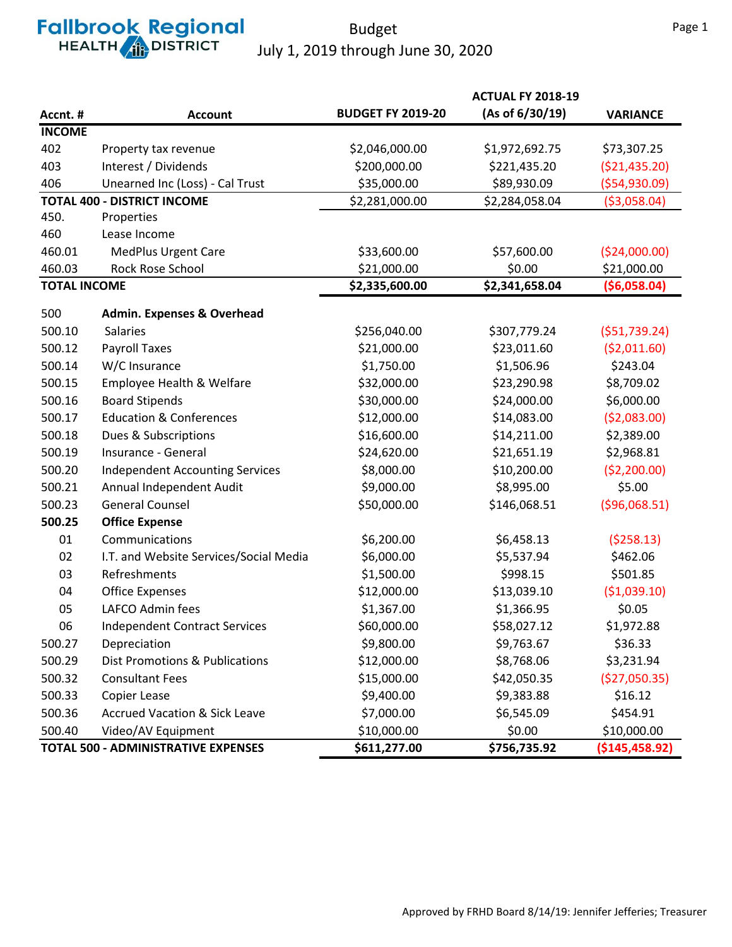# **Fallbrook Regional**

#### Budget July 1, 2019 through June 30, 2020

|                                            |                                           |                          | <b>ACTUAL FY 2018-19</b> |                  |
|--------------------------------------------|-------------------------------------------|--------------------------|--------------------------|------------------|
| Accnt. #                                   | <b>Account</b>                            | <b>BUDGET FY 2019-20</b> | (As of 6/30/19)          | <b>VARIANCE</b>  |
| <b>INCOME</b>                              |                                           |                          |                          |                  |
| 402                                        | Property tax revenue                      | \$2,046,000.00           | \$1,972,692.75           | \$73,307.25      |
| 403                                        | Interest / Dividends                      | \$200,000.00             | \$221,435.20             | ( \$21,435.20)   |
| 406                                        | Unearned Inc (Loss) - Cal Trust           | \$35,000.00              | \$89,930.09              | ( \$54, 930.09)  |
|                                            | <b>TOTAL 400 - DISTRICT INCOME</b>        | \$2,281,000.00           | \$2,284,058.04           | ( \$3,058.04)    |
| 450.                                       | Properties                                |                          |                          |                  |
| 460                                        | Lease Income                              |                          |                          |                  |
| 460.01                                     | <b>MedPlus Urgent Care</b>                | \$33,600.00              | \$57,600.00              | ( \$24,000.00)   |
| 460.03                                     | Rock Rose School                          | \$21,000.00              | \$0.00                   | \$21,000.00      |
| <b>TOTAL INCOME</b>                        |                                           | \$2,335,600.00           | \$2,341,658.04           | ( \$6,058.04)    |
| 500                                        | <b>Admin. Expenses &amp; Overhead</b>     |                          |                          |                  |
| 500.10                                     | <b>Salaries</b>                           | \$256,040.00             | \$307,779.24             | (551, 739.24)    |
| 500.12                                     | Payroll Taxes                             | \$21,000.00              | \$23,011.60              | ( \$2,011.60)    |
| 500.14                                     | W/C Insurance                             | \$1,750.00               | \$1,506.96               | \$243.04         |
| 500.15                                     | Employee Health & Welfare                 | \$32,000.00              | \$23,290.98              | \$8,709.02       |
| 500.16                                     | <b>Board Stipends</b>                     | \$30,000.00              | \$24,000.00              | \$6,000.00       |
| 500.17                                     | <b>Education &amp; Conferences</b>        | \$12,000.00              | \$14,083.00              | (52,083.00)      |
| 500.18                                     | Dues & Subscriptions                      | \$16,600.00              | \$14,211.00              | \$2,389.00       |
| 500.19                                     | Insurance - General                       | \$24,620.00              | \$21,651.19              | \$2,968.81       |
| 500.20                                     | <b>Independent Accounting Services</b>    | \$8,000.00               | \$10,200.00              | ( \$2,200.00)    |
| 500.21                                     | Annual Independent Audit                  | \$9,000.00               | \$8,995.00               | \$5.00           |
| 500.23                                     | <b>General Counsel</b>                    | \$50,000.00              | \$146,068.51             | ( \$96,068.51)   |
| 500.25                                     | <b>Office Expense</b>                     |                          |                          |                  |
| 01                                         | Communications                            | \$6,200.00               | \$6,458.13               | (5258.13)        |
| 02                                         | I.T. and Website Services/Social Media    | \$6,000.00               | \$5,537.94               | \$462.06         |
| 03                                         | Refreshments                              | \$1,500.00               | \$998.15                 | \$501.85         |
| 04                                         | <b>Office Expenses</b>                    | \$12,000.00              | \$13,039.10              | ( \$1,039.10)    |
| 05                                         | LAFCO Admin fees                          | \$1,367.00               | \$1,366.95               | \$0.05           |
| 06                                         | <b>Independent Contract Services</b>      | \$60,000.00              | \$58,027.12              | \$1,972.88       |
| 500.27                                     | Depreciation                              | \$9,800.00               | \$9,763.67               | \$36.33          |
| 500.29                                     | <b>Dist Promotions &amp; Publications</b> | \$12,000.00              | \$8,768.06               | \$3,231.94       |
| 500.32                                     | <b>Consultant Fees</b>                    | \$15,000.00              | \$42,050.35              | (\$27,050.35)    |
| 500.33                                     | Copier Lease                              | \$9,400.00               | \$9,383.88               | \$16.12          |
| 500.36                                     | <b>Accrued Vacation &amp; Sick Leave</b>  | \$7,000.00               | \$6,545.09               | \$454.91         |
| 500.40                                     | Video/AV Equipment                        | \$10,000.00              | \$0.00                   | \$10,000.00      |
| <b>TOTAL 500 - ADMINISTRATIVE EXPENSES</b> |                                           | \$611,277.00             | \$756,735.92             | ( \$145, 458.92) |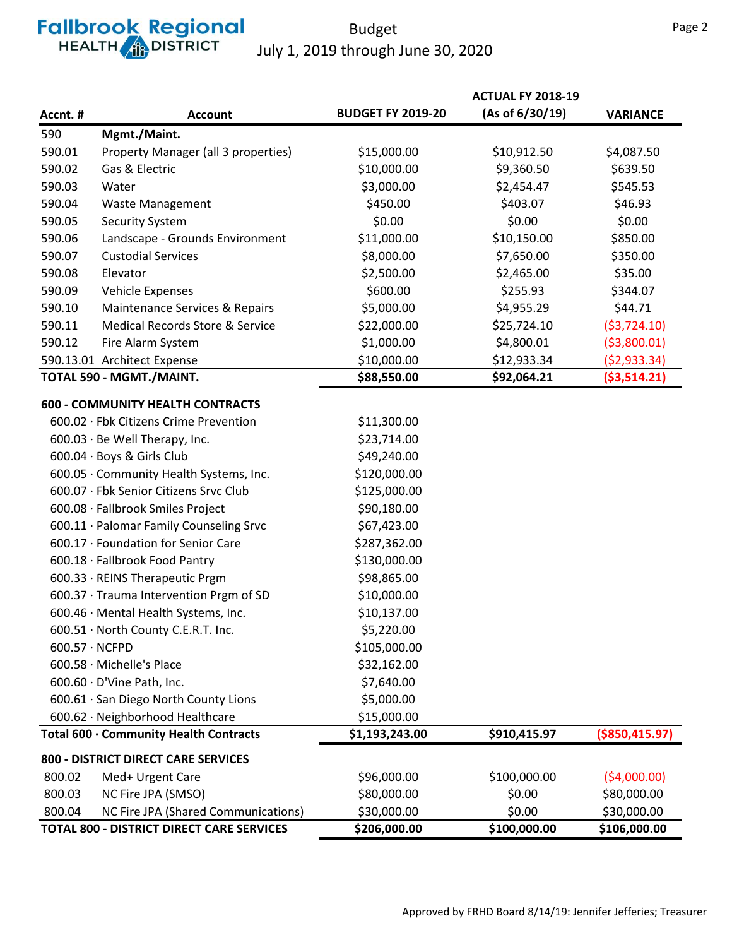## **Fallbrook Regional**<br>HEALTH **ALLER**

#### Budget July 1, 2019 through June 30, 2020

|                                     |                                                  |                          | <b>ACTUAL FY 2018-19</b> |                  |
|-------------------------------------|--------------------------------------------------|--------------------------|--------------------------|------------------|
| Accnt. #                            | <b>Account</b>                                   | <b>BUDGET FY 2019-20</b> | (As of 6/30/19)          | <b>VARIANCE</b>  |
| 590                                 | Mgmt./Maint.                                     |                          |                          |                  |
| 590.01                              | Property Manager (all 3 properties)              | \$15,000.00              | \$10,912.50              | \$4,087.50       |
| 590.02                              | Gas & Electric                                   | \$10,000.00              | \$9,360.50               | \$639.50         |
| 590.03                              | Water                                            | \$3,000.00               | \$2,454.47               | \$545.53         |
| 590.04                              | <b>Waste Management</b>                          | \$450.00                 | \$403.07                 | \$46.93          |
| 590.05                              | <b>Security System</b>                           | \$0.00                   | \$0.00                   | \$0.00           |
| 590.06                              | Landscape - Grounds Environment                  | \$11,000.00              | \$10,150.00              | \$850.00         |
| 590.07                              | <b>Custodial Services</b>                        | \$8,000.00               | \$7,650.00               | \$350.00         |
| 590.08                              | Elevator                                         | \$2,500.00               | \$2,465.00               | \$35.00          |
| 590.09                              | Vehicle Expenses                                 | \$600.00                 | \$255.93                 | \$344.07         |
| 590.10                              | Maintenance Services & Repairs                   | \$5,000.00               | \$4,955.29               | \$44.71          |
| 590.11                              | Medical Records Store & Service                  | \$22,000.00              | \$25,724.10              | (53, 724.10)     |
| 590.12                              | Fire Alarm System                                | \$1,000.00               | \$4,800.01               | ( \$3,800.01)    |
|                                     | 590.13.01 Architect Expense                      | \$10,000.00              | \$12,933.34              | ( \$2,933.34)    |
|                                     | TOTAL 590 - MGMT./MAINT.                         | \$88,550.00              | \$92,064.21              | ( \$3,514.21)    |
|                                     | <b>600 - COMMUNITY HEALTH CONTRACTS</b>          |                          |                          |                  |
|                                     | 600.02 · Fbk Citizens Crime Prevention           | \$11,300.00              |                          |                  |
|                                     | $600.03 \cdot$ Be Well Therapy, Inc.             | \$23,714.00              |                          |                  |
|                                     | 600.04 · Boys & Girls Club                       | \$49,240.00              |                          |                  |
|                                     | 600.05 · Community Health Systems, Inc.          | \$120,000.00             |                          |                  |
|                                     | 600.07 · Fbk Senior Citizens Srvc Club           | \$125,000.00             |                          |                  |
|                                     | 600.08 · Fallbrook Smiles Project                | \$90,180.00              |                          |                  |
|                                     | 600.11 · Palomar Family Counseling Srvc          | \$67,423.00              |                          |                  |
|                                     | 600.17 · Foundation for Senior Care              | \$287,362.00             |                          |                  |
|                                     | 600.18 · Fallbrook Food Pantry                   | \$130,000.00             |                          |                  |
|                                     | 600.33 · REINS Therapeutic Prgm                  | \$98,865.00              |                          |                  |
|                                     | 600.37 · Trauma Intervention Prgm of SD          | \$10,000.00              |                          |                  |
|                                     | 600.46 · Mental Health Systems, Inc.             | \$10,137.00              |                          |                  |
|                                     | 600.51 · North County C.E.R.T. Inc.              | \$5,220.00               |                          |                  |
| $600.57 \cdot NCFPD$                |                                                  | \$105,000.00             |                          |                  |
|                                     | 600.58 · Michelle's Place                        | \$32,162.00              |                          |                  |
|                                     | $600.60 \cdot D'$ Vine Path, Inc.                | \$7,640.00               |                          |                  |
|                                     | 600.61 · San Diego North County Lions            | \$5,000.00               |                          |                  |
|                                     | 600.62 · Neighborhood Healthcare                 | \$15,000.00              |                          |                  |
|                                     | Total 600 · Community Health Contracts           | \$1,193,243.00           | \$910,415.97             | ( \$850, 415.97) |
| 800 - DISTRICT DIRECT CARE SERVICES |                                                  |                          |                          |                  |
| 800.02                              | Med+ Urgent Care                                 | \$96,000.00              | \$100,000.00             | (54,000.00)      |
| 800.03                              | NC Fire JPA (SMSO)                               | \$80,000.00              | \$0.00                   | \$80,000.00      |
| 800.04                              | NC Fire JPA (Shared Communications)              | \$30,000.00              | \$0.00                   | \$30,000.00      |
|                                     | <b>TOTAL 800 - DISTRICT DIRECT CARE SERVICES</b> | \$206,000.00             | \$100,000.00             | \$106,000.00     |